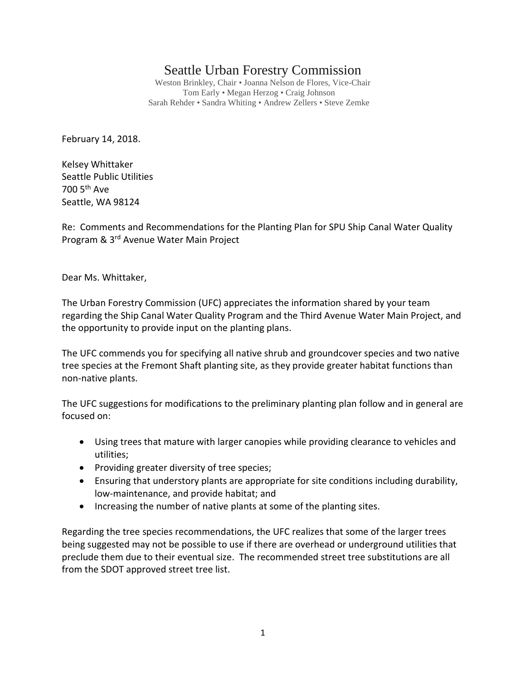# Seattle Urban Forestry Commission

Weston Brinkley, Chair • Joanna Nelson de Flores, Vice-Chair Tom Early • Megan Herzog • Craig Johnson Sarah Rehder • Sandra Whiting • Andrew Zellers • Steve Zemke

February 14, 2018.

Kelsey Whittaker Seattle Public Utilities 700 5th Ave Seattle, WA 98124

Re: Comments and Recommendations for the Planting Plan for SPU Ship Canal Water Quality Program & 3rd Avenue Water Main Project

Dear Ms. Whittaker,

The Urban Forestry Commission (UFC) appreciates the information shared by your team regarding the Ship Canal Water Quality Program and the Third Avenue Water Main Project, and the opportunity to provide input on the planting plans.

The UFC commends you for specifying all native shrub and groundcover species and two native tree species at the Fremont Shaft planting site, as they provide greater habitat functions than non-native plants.

The UFC suggestions for modifications to the preliminary planting plan follow and in general are focused on:

- Using trees that mature with larger canopies while providing clearance to vehicles and utilities;
- Providing greater diversity of tree species;
- Ensuring that understory plants are appropriate for site conditions including durability, low-maintenance, and provide habitat; and
- Increasing the number of native plants at some of the planting sites.

Regarding the tree species recommendations, the UFC realizes that some of the larger trees being suggested may not be possible to use if there are overhead or underground utilities that preclude them due to their eventual size. The recommended street tree substitutions are all from the SDOT approved street tree list.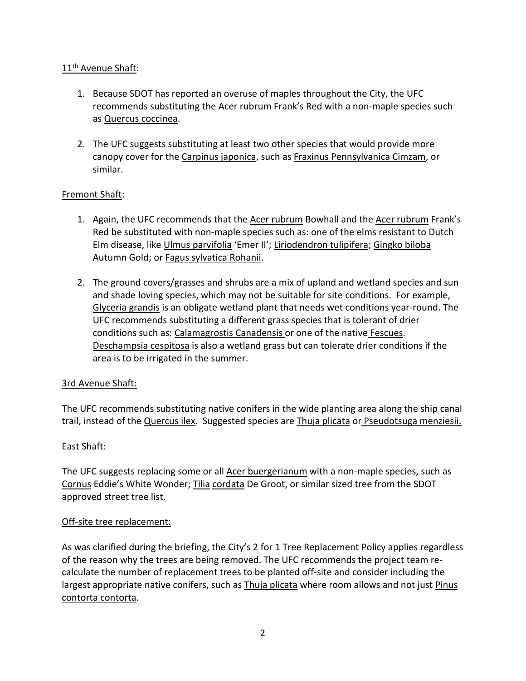## 11<sup>th</sup> Avenue Shaft:

- 1. Because SDOT has reported an overuse of maples throughout the City, the UFC recommends substituting the Acer rubrum Frank's Red with a non-maple species such as Quercus coccinea.
- 2. The UFC suggests substituting at least two other species that would provide more canopy cover for the Carpinus japonica, such as Fraxinus Pennsylvanica Cimzam, or similar.

### Fremont Shaft:

- 1. Again, the UFC recommends that the Acer rubrum Bowhall and the Acer rubrum Frank's Red be substituted with non-maple species such as: one of the elms resistant to Dutch Elm disease, like Ulmus parvifolia 'Emer II'; Liriodendron tulipifera; Gingko biloba Autumn Gold; or Fagus sylvatica Rohanii.
- 2. The ground covers/grasses and shrubs are a mix of upland and wetland species and sun and shade loving species, which may not be suitable for site conditions. For example, Glyceria grandis is an obligate wetland plant that needs wet conditions year-round. The UFC recommends substituting a different grass species that is tolerant of drier conditions such as: Calamagrostis Canadensis or one of the native Fescues. Deschampsia cespitosa is also a wetland grass but can tolerate drier conditions if the area is to be irrigated in the summer.

#### 3rd Avenue Shaft:

The UFC recommends substituting native conifers in the wide planting area along the ship canal trail, instead of the **Quercus ilex.** Suggested species are Thuja plicata or Pseudotsuga menziesii.

## East Shaft:

The UFC suggests replacing some or all **Acer buergerianum** with a non-maple species, such as Cornus Eddie's White Wonder; Tilia cordata De Groot, or similar sized tree from the SDOT approved street tree list.

#### Off-site tree replacement:

As was clarified during the briefing, the City's 2 for 1 Tree Replacement Policy applies regardless of the reason why the trees are being removed. The UFC recommends the project team recalculate the number of replacement trees to be planted off-site and consider including the largest appropriate native conifers, such as Thuja plicata where room allows and not just Pinus contorta contorta.